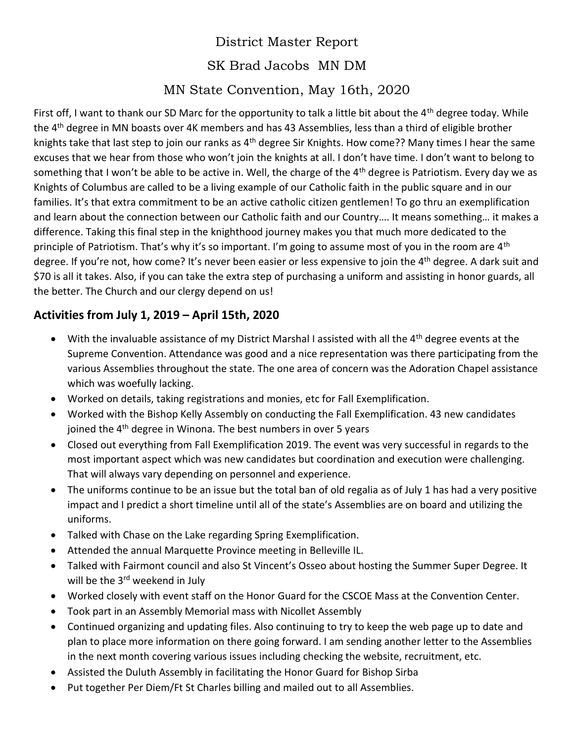## District Master Report SK Brad Jacobs MN DM MN State Convention, May 16th, 2020

First off, I want to thank our SD Marc for the opportunity to talk a little bit about the  $4<sup>th</sup>$  degree today. While the 4th degree in MN boasts over 4K members and has 43 Assemblies, less than a third of eligible brother knights take that last step to join our ranks as 4<sup>th</sup> degree Sir Knights. How come?? Many times I hear the same excuses that we hear from those who won't join the knights at all. I don't have time. I don't want to belong to something that I won't be able to be active in. Well, the charge of the  $4<sup>th</sup>$  degree is Patriotism. Every day we as Knights of Columbus are called to be a living example of our Catholic faith in the public square and in our families. It's that extra commitment to be an active catholic citizen gentlemen! To go thru an exemplification and learn about the connection between our Catholic faith and our Country…. It means something… it makes a difference. Taking this final step in the knighthood journey makes you that much more dedicated to the principle of Patriotism. That's why it's so important. I'm going to assume most of you in the room are 4<sup>th</sup> degree. If you're not, how come? It's never been easier or less expensive to join the 4<sup>th</sup> degree. A dark suit and \$70 is all it takes. Also, if you can take the extra step of purchasing a uniform and assisting in honor guards, all the better. The Church and our clergy depend on us!

## **Activities from July 1, 2019 – April 15th, 2020**

- With the invaluable assistance of my District Marshal I assisted with all the 4<sup>th</sup> degree events at the Supreme Convention. Attendance was good and a nice representation was there participating from the various Assemblies throughout the state. The one area of concern was the Adoration Chapel assistance which was woefully lacking.
- Worked on details, taking registrations and monies, etc for Fall Exemplification.
- Worked with the Bishop Kelly Assembly on conducting the Fall Exemplification. 43 new candidates joined the 4<sup>th</sup> degree in Winona. The best numbers in over 5 years
- Closed out everything from Fall Exemplification 2019. The event was very successful in regards to the most important aspect which was new candidates but coordination and execution were challenging. That will always vary depending on personnel and experience.
- The uniforms continue to be an issue but the total ban of old regalia as of July 1 has had a very positive impact and I predict a short timeline until all of the state's Assemblies are on board and utilizing the uniforms.
- Talked with Chase on the Lake regarding Spring Exemplification.
- Attended the annual Marquette Province meeting in Belleville IL.
- Talked with Fairmont council and also St Vincent's Osseo about hosting the Summer Super Degree. It will be the 3<sup>rd</sup> weekend in July
- Worked closely with event staff on the Honor Guard for the CSCOE Mass at the Convention Center.
- Took part in an Assembly Memorial mass with Nicollet Assembly
- Continued organizing and updating files. Also continuing to try to keep the web page up to date and plan to place more information on there going forward. I am sending another letter to the Assemblies in the next month covering various issues including checking the website, recruitment, etc.
- Assisted the Duluth Assembly in facilitating the Honor Guard for Bishop Sirba
- Put together Per Diem/Ft St Charles billing and mailed out to all Assemblies.